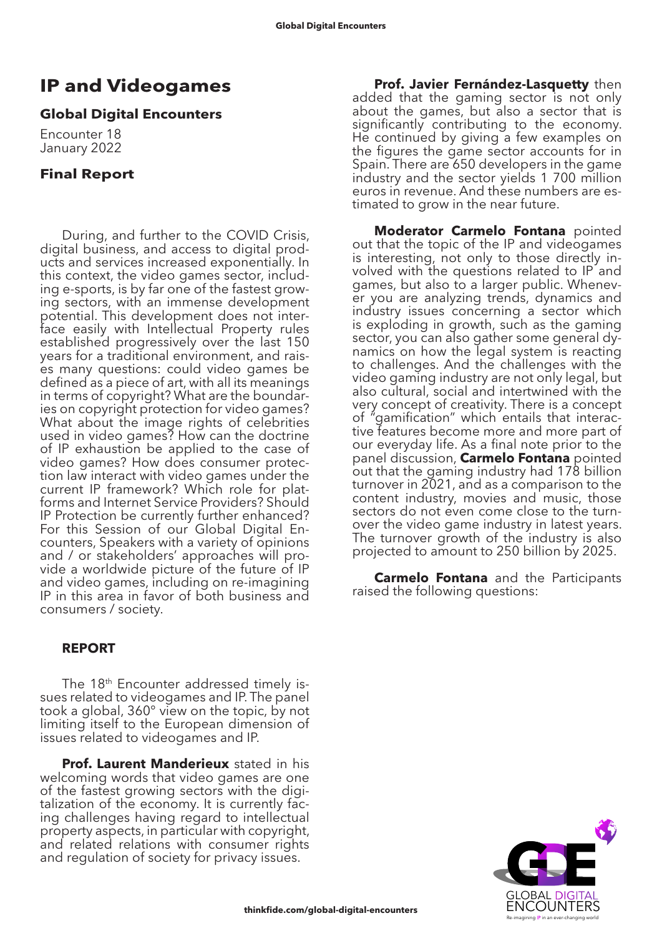# **IP and Videogames**

## **Global Digital Encounters**

Encounter 18 January 2022

# **Final Report**

During, and further to the COVID Crisis, digital business, and access to digital products and services increased exponentially. In this context, the video games sector, including e-sports, is by far one of the fastest growing sectors, with an immense development potential. This development does not interface easily with Intellectual Property rules established progressively over the last 150 years for a traditional environment, and raises many questions: could video games be defined as a piece of art, with all its meanings in terms of copyright? What are the boundaries on copyright protection for video games? What about the image rights of celebrities used in video games? How can the doctrine of IP exhaustion be applied to the case of video games? How does consumer protection law interact with video games under the current IP framework? Which role for platforms and Internet Service Providers? Should IP Protection be currently further enhanced? For this Session of our Global Digital En- counters, Speakers with a variety of opinions and / or stakeholders' approaches will pro- vide a worldwide picture of the future of IP and video games, including on re-imagining IP in this area in favor of both business and consumers / society.

## **REPORT**

The 18th Encounter addressed timely issues related to videogames and IP. The panel took a global, 360° view on the topic, by not limiting itself to the European dimension of issues related to videogames and IP.

**Prof. Laurent Manderieux** stated in his welcoming words that video games are one of the fastest growing sectors with the digitalization of the economy. It is currently facing challenges having regard to intellectual property aspects, in particular with copyright, and related relations with consumer rights and regulation of society for privacy issues.

**Prof. Javier Fernández-Lasquetty** then added that the gaming sector is not only about the games, but also a sector that is significantly contributing to the economy. He continued by giving a few examples on the figures the game sector accounts for in Spain. There are 650 developers in the game industry and the sector yields 1 700 million euros in revenue. And these numbers are estimated to grow in the near future.

**Moderator Carmelo Fontana** pointed out that the topic of the IP and videogames is interesting, not only to those directly involved with the questions related to IP and games, but also to a larger public. Whenever you are analyzing trends, dynamics and industry issues concerning a sector which is exploding in growth, such as the gaming sector, you can also gather some general dynamics on how the legal system is reacting to challenges. And the challenges with the video gaming industry are not only legal, but also cultural, social and intertwined with the very concept of creativity. There is a concept of "gamification" which entails that interactive features become more and more part of our everyday life. As a final note prior to the panel discussion, **Carmelo Fontana** pointed out that the gaming industry had 178 billion turnover in 2021, and as a comparison to the content industry, movies and music, those sectors do not even come close to the turnover the video game industry in latest years. The turnover growth of the industry is also projected to amount to 250 billion by 2025.

**Carmelo Fontana** and the Participants raised the following questions:

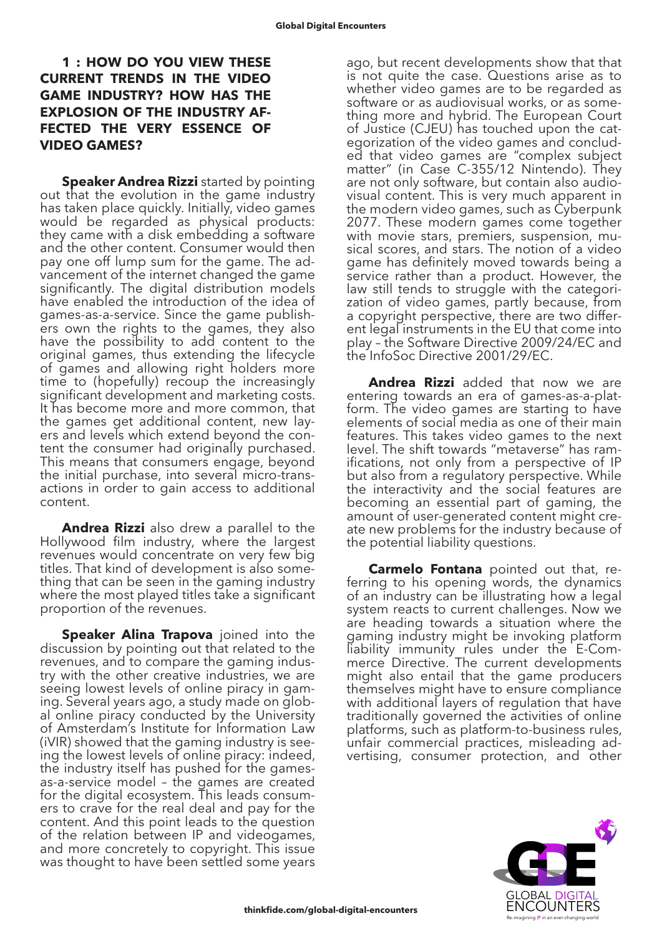#### **1 : HOW DO YOU VIEW THESE CURRENT TRENDS IN THE VIDEO GAME INDUSTRY? HOW HAS THE EXPLOSION OF THE INDUSTRY AF-FECTED THE VERY ESSENCE OF VIDEO GAMES?**

**Speaker Andrea Rizzi** started by pointing out that the evolution in the game industry has taken place quickly. Initially, video games would be regarded as physical products: they came with a disk embedding a software and the other content. Consumer would then pay one off lump sum for the game. The advancement of the internet changed the game significantly. The digital distribution models have enabled the introduction of the idea of games-as-a-service. Since the game publishers own the rights to the games, they also have the possibility to add content to the original games, thus extending the lifecycle of games and allowing right holders more time to (hopefully) recoup the increasingly significant development and marketing costs. It has become more and more common, that the games get additional content, new layers and levels which extend beyond the content the consumer had originally purchased. This means that consumers engage, beyond the initial purchase, into several micro-transactions in order to gain access to additional content.

**Andrea Rizzi** also drew a parallel to the Hollywood film industry, where the largest revenues would concentrate on very few big titles. That kind of development is also something that can be seen in the gaming industry where the most played titles take a significant proportion of the revenues.

**Speaker Alina Trapova** joined into the discussion by pointing out that related to the revenues, and to compare the gaming industry with the other creative industries, we are seeing lowest levels of online piracy in gaming. Several years ago, a study made on global online piracy conducted by the University of Amsterdam's Institute for Information Law (iVIR) showed that the gaming industry is seeing the lowest levels of online piracy: indeed, the industry itself has pushed for the gamesas-a-service model – the games are created for the digital ecosystem. This leads consumers to crave for the real deal and pay for the content. And this point leads to the question of the relation between IP and videogames, and more concretely to copyright. This issue was thought to have been settled some years

ago, but recent developments show that that is not quite the case. Questions arise as to whether video games are to be regarded as software or as audiovisual works, or as something more and hybrid. The European Court of Justice (CJEU) has touched upon the categorization of the video games and concluded that video games are "complex subject matter" (in Case C-355/12 Nintendo). They are not only software, but contain also audiovisual content. This is very much apparent in the modern video games, such as Cyberpunk 2077. These modern games come together with movie stars, premiers, suspension, musical scores, and stars. The notion of a video game has definitely moved towards being a service rather than a product. However, the law still tends to struggle with the categorization of video games, partly because, from a copyright perspective, there are two different legal instruments in the EU that come into play – the Software Directive 2009/24/EC and the InfoSoc Directive 2001/29/EC.

**Andrea Rizzi** added that now we are entering towards an era of games-as-a-platform. The video games are starting to have elements of social media as one of their main features. This takes video games to the next level. The shift towards "metaverse" has ramifications, not only from a perspective of IP but also from a regulatory perspective. While the interactivity and the social features are becoming an essential part of gaming, the amount of user-generated content might create new problems for the industry because of the potential liability questions.

**Carmelo Fontana** pointed out that, referring to his opening words, the dynamics of an industry can be illustrating how a legal system reacts to current challenges. Now we are heading towards a situation where the gaming industry might be invoking platform liability immunity rules under the E-Com- merce Directive. The current developments might also entail that the game producers themselves might have to ensure compliance with additional layers of regulation that have traditionally governed the activities of online platforms, such as platform-to-business rules, unfair commercial practices, misleading advertising, consumer protection, and other

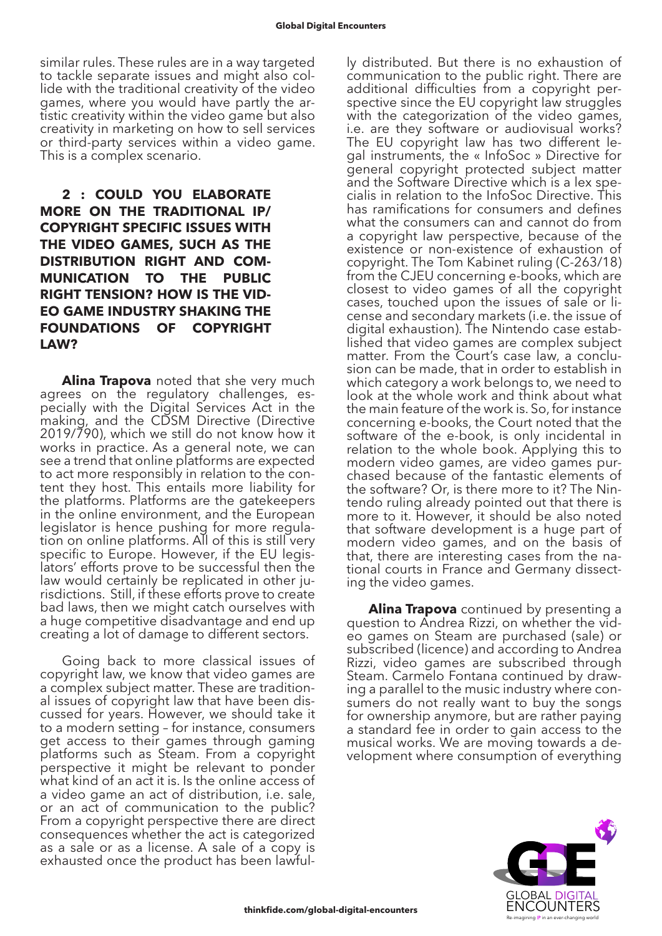similar rules. These rules are in a way targeted to tackle separate issues and might also collide with the traditional creativity of the video games, where you would have partly the artistic creativity within the video game but also creativity in marketing on how to sell services or third-party services within a video game. This is a complex scenario.

# **2 : COULD YOU ELABORATE MORE ON THE TRADITIONAL IP/ COPYRIGHT SPECIFIC ISSUES WITH THE VIDEO GAMES, SUCH AS THE DISTRIBUTION RIGHT AND COM-MUNICATION TO THE PUBLIC RIGHT TENSION? HOW IS THE VID-EO GAME INDUSTRY SHAKING THE FOUNDATIONS OF COPYRIGHT LAW?**

**Alina Trapova** noted that she very much agrees on the regulatory challenges, especially with the Digital Services Act in the making, and the CDSM Directive (Directive 2019/790), which we still do not know how it works in practice. As a general note, we can see a trend that online platforms are expected to act more responsibly in relation to the content they host. This entails more liability for the platforms. Platforms are the gatekeepers in the online environment, and the European legislator is hence pushing for more regula- tion on online platforms. All of this is still very specific to Europe. However, if the EU legislators' efforts prove to be successful then the law would certainly be replicated in other jurisdictions. Still, if these efforts prove to create bad laws, then we might catch ourselves with a huge competitive disadvantage and end up creating a lot of damage to different sectors.

Going back to more classical issues of copyright law, we know that video games are a complex subject matter. These are traditional issues of copyright law that have been discussed for years. However, we should take it to a modern setting – for instance, consumers get access to their games through gaming platforms such as Steam. From a copyright perspective it might be relevant to ponder what kind of an act it is. Is the online access of a video game an act of distribution, i.e. sale, or an act of communication to the public? From a copyright perspective there are direct consequences whether the act is categorized as a sale or as a license. A sale of a copy is exhausted once the product has been lawfully distributed. But there is no exhaustion of communication to the public right. There are additional difficulties from a copyright perspective since the EU copyright law struggles with the categorization of the video games, i.e. are they software or audiovisual works? The EU copyright law has two different legal instruments, the « InfoSoc » Directive for general copyright protected subject matter and the Software Directive which is a lex specialis in relation to the InfoSoc Directive. This has ramifications for consumers and defines what the consumers can and cannot do from a copyright law perspective, because of the existence or non-existence of exhaustion of copyright. The Tom Kabinet ruling (C-263/18) from the CJEU concerning e-books, which are closest to video games of all the copyright cases, touched upon the issues of sale or license and secondary markets (i.e. the issue of digital exhaustion). The Nintendo case established that video games are complex subject matter. From the Court's case law, a conclusion can be made, that in order to establish in which category a work belongs to, we need to look at the whole work and think about what the main feature of the work is. So, for instance concerning e-books, the Court noted that the software of the e-book, is only incidental in relation to the whole book. Applying this to modern video games, are video games purchased because of the fantastic elements of the software? Or, is there more to it? The Nintendo ruling already pointed out that there is more to it. However, it should be also noted that software development is a huge part of modern video games, and on the basis of that, there are interesting cases from the national courts in France and Germany dissecting the video games.

**Alina Trapova** continued by presenting a question to Andrea Rizzi, on whether the video games on Steam are purchased (sale) or subscribed (licence) and according to Andrea Rizzi, video games are subscribed through Steam. Carmelo Fontana continued by draw- ing a parallel to the music industry where con- sumers do not really want to buy the songs for ownership anymore, but are rather paying a standard fee in order to gain access to the musical works. We are moving towards a development where consumption of everything

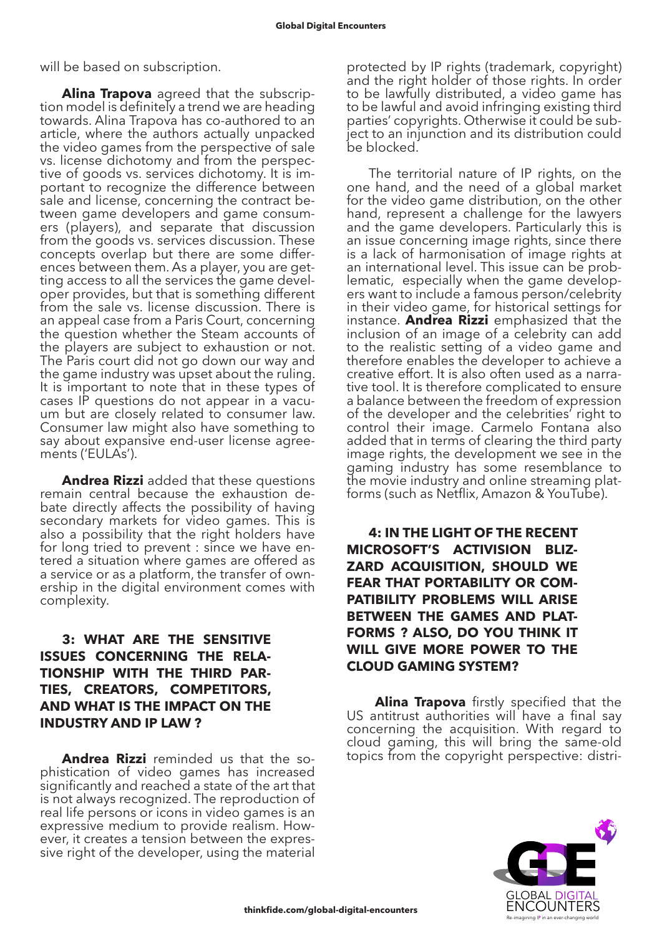will be based on subscription.

**Alina Trapova** agreed that the subscription model is definitely a trend we are heading towards. Alina Trapova has co-authored to an article, where the authors actually unpacked the video games from the perspective of sale vs. license dichotomy and from the perspective of goods vs. services dichotomy. It is important to recognize the difference between sale and license, concerning the contract between game developers and game consumers (players), and separate that discussion from the goods vs. services discussion. These concepts overlap but there are some differences between them. As a player, you are getting access to all the services the game developer provides, but that is something different from the sale vs. license discussion. There is an appeal case from a Paris Court, concerning the question whether the Steam accounts of the players are subject to exhaustion or not. The Paris court did not go down our way and the game industry was upset about the ruling. It is important to note that in these types of cases IP questions do not appear in a vacuum but are closely related to consumer law. Consumer law might also have something to say about expansive end-user license agreements ('EULAs').

**Andrea Rizzi** added that these questions remain central because the exhaustion debate directly affects the possibility of having secondary markets for video games. This is also a possibility that the right holders have for long tried to prevent : since we have entered a situation where games are offered as a service or as a platform, the transfer of ownership in the digital environment comes with complexity.

## **3: WHAT ARE THE SENSITIVE ISSUES CONCERNING THE RELA-TIONSHIP WITH THE THIRD PAR-TIES, CREATORS, COMPETITORS, AND WHAT IS THE IMPACT ON THE INDUSTRY AND IP LAW ?**

**Andrea Rizzi** reminded us that the sophistication of video games has increased significantly and reached a state of the art that is not always recognized. The reproduction of real life persons or icons in video games is an expressive medium to provide realism. However, it creates a tension between the expres- sive right of the developer, using the material

protected by IP rights (trademark, copyright) and the right holder of those rights. In order to be lawfully distributed, a video game has to be lawful and avoid infringing existing third parties' copyrights. Otherwise it could be subject to an injunction and its distribution could be blocked.

The territorial nature of IP rights, on the one hand, and the need of a global market for the video game distribution, on the other hand, represent a challenge for the lawyers and the game developers. Particularly this is an issue concerning image rights, since there is a lack of harmonisation of image rights at an international level. This issue can be problematic, especially when the game developers want to include a famous person/celebrity in their video game, for historical settings for instance. **Andrea Rizzi** emphasized that the inclusion of an image of a celebrity can add to the realistic setting of a video game and therefore enables the developer to achieve a creative effort. It is also often used as a narrative tool. It is therefore complicated to ensure a balance between the freedom of expression of the developer and the celebrities' right to control their image. Carmelo Fontana also added that in terms of clearing the third party image rights, the development we see in the gaming industry has some resemblance to the movie industry and online streaming platforms (such as Netflix, Amazon & YouTube).

**4: IN THE LIGHT OF THE RECENT MICROSOFT'S ACTIVISION BLIZ-ZARD ACQUISITION, SHOULD WE FEAR THAT PORTABILITY OR COM-PATIBILITY PROBLEMS WILL ARISE BETWEEN THE GAMES AND PLAT-FORMS ? ALSO, DO YOU THINK IT WILL GIVE MORE POWER TO THE CLOUD GAMING SYSTEM?**

**Alina Trapova** firstly specified that the US antitrust authorities will have a final say concerning the acquisition. With regard to cloud gaming, this will bring the same-old topics from the copyright perspective: distri-

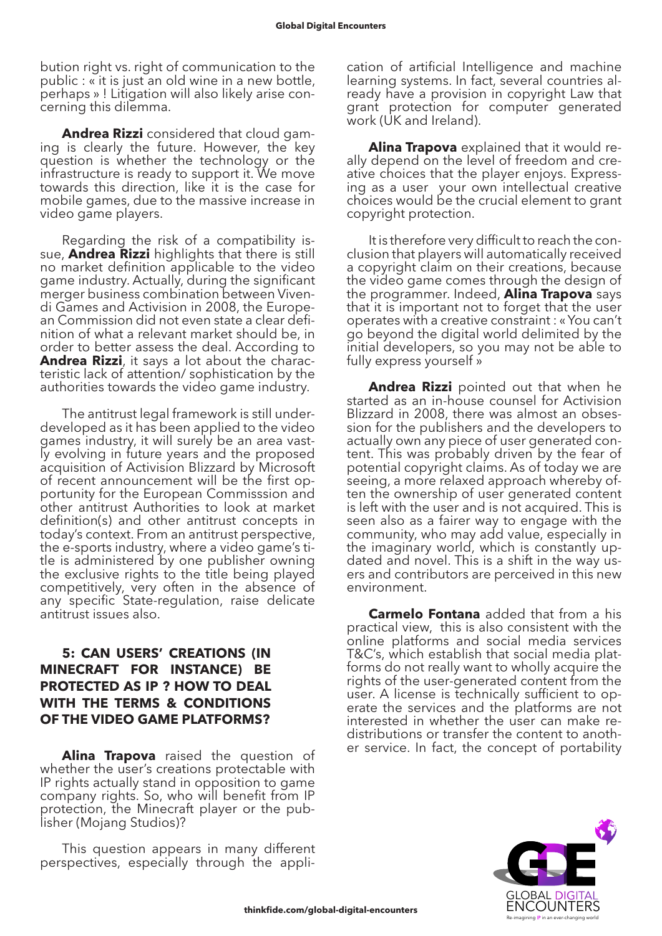bution right vs. right of communication to the public : « it is just an old wine in a new bottle, perhaps » ! Litigation will also likely arise concerning this dilemma.

**Andrea Rizzi** considered that cloud gaming is clearly the future. However, the key question is whether the technology or the infrastructure is ready to support it. We move towards this direction, like it is the case for mobile games, due to the massive increase in video game players.

Regarding the risk of a compatibility issue, **Andrea Rizzi** highlights that there is still no market definition applicable to the video game industry. Actually, during the significant merger business combination between Vivendi Games and Activision in 2008, the European Commission did not even state a clear definition of what a relevant market should be, in order to better assess the deal. According to **Andrea Rizzi**, it says a lot about the characteristic lack of attention/ sophistication by the authorities towards the video game industry.

The antitrust legal framework is still underdeveloped as it has been applied to the video games industry, it will surely be an area vastly evolving in future years and the proposed acquisition of Activision Blizzard by Microsoft of recent announcement will be the first opportunity for the European Commisssion and other antitrust Authorities to look at market definition(s) and other antitrust concepts in today's context. From an antitrust perspective, the e-sports industry, where a video game's title is administered by one publisher owning the exclusive rights to the title being played competitively, very often in the absence of any specific State-regulation, raise delicate antitrust issues also.

#### **5: CAN USERS' CREATIONS (IN MINECRAFT FOR INSTANCE) BE PROTECTED AS IP ? HOW TO DEAL WITH THE TERMS & CONDITIONS OF THE VIDEO GAME PLATFORMS?**

**Alina Trapova** raised the question of whether the user's creations protectable with IP rights actually stand in opposition to game company rights. So, who will benefit from IP protection, the Minecraft player or the publisher (Mojang Studios)?

This question appears in many different perspectives, especially through the application of artificial Intelligence and machine learning systems. In fact, several countries already have a provision in copyright Law that grant protection for computer generated work (UK and Ireland).

**Alina Trapova** explained that it would really depend on the level of freedom and creative choices that the player enjoys. Expressing as a user your own intellectual creative choices would be the crucial element to grant copyright protection.

It is therefore very difficult to reach the conclusion that players will automatically received a copyright claim on their creations, because the video game comes through the design of the programmer. Indeed, **Alina Trapova** says that it is important not to forget that the user operates with a creative constraint : « You can't go beyond the digital world delimited by the initial developers, so you may not be able to fully express yourself »

**Andrea Rizzi** pointed out that when he started as an in-house counsel for Activision Blizzard in 2008, there was almost an obsession for the publishers and the developers to actually own any piece of user generated content. This was probably driven by the fear of potential copyright claims. As of today we are seeing, a more relaxed approach whereby often the ownership of user generated content is left with the user and is not acquired. This is seen also as a fairer way to engage with the community, who may add value, especially in the imaginary world, which is constantly updated and novel. This is a shift in the way users and contributors are perceived in this new environment.

**Carmelo Fontana** added that from a his practical view, this is also consistent with the online platforms and social media services T&C's, which establish that social media platforms do not really want to wholly acquire the rights of the user-generated content from the user. A license is technically sufficient to operate the services and the platforms are not interested in whether the user can make re- distributions or transfer the content to anoth- er service. In fact, the concept of portability